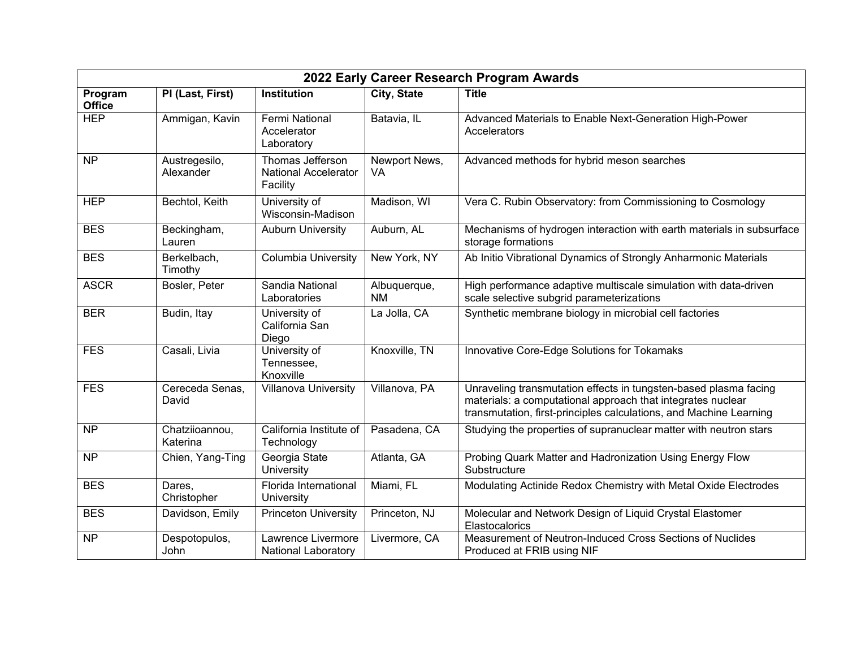| 2022 Early Career Research Program Awards |                            |                                                             |                            |                                                                                                                                                                                                       |  |
|-------------------------------------------|----------------------------|-------------------------------------------------------------|----------------------------|-------------------------------------------------------------------------------------------------------------------------------------------------------------------------------------------------------|--|
| Program<br><b>Office</b>                  | PI (Last, First)           | Institution                                                 | City, State                | <b>Title</b>                                                                                                                                                                                          |  |
| <b>HEP</b>                                | Ammigan, Kavin             | Fermi National<br>Accelerator<br>Laboratory                 | Batavia, IL                | Advanced Materials to Enable Next-Generation High-Power<br>Accelerators                                                                                                                               |  |
| <b>NP</b>                                 | Austregesilo,<br>Alexander | Thomas Jefferson<br><b>National Accelerator</b><br>Facility | Newport News,<br><b>VA</b> | Advanced methods for hybrid meson searches                                                                                                                                                            |  |
| <b>HEP</b>                                | Bechtol, Keith             | University of<br>Wisconsin-Madison                          | Madison, WI                | Vera C. Rubin Observatory: from Commissioning to Cosmology                                                                                                                                            |  |
| <b>BES</b>                                | Beckingham,<br>Lauren      | <b>Auburn University</b>                                    | Auburn, AL                 | Mechanisms of hydrogen interaction with earth materials in subsurface<br>storage formations                                                                                                           |  |
| <b>BES</b>                                | Berkelbach,<br>Timothy     | Columbia University                                         | New York, NY               | Ab Initio Vibrational Dynamics of Strongly Anharmonic Materials                                                                                                                                       |  |
| <b>ASCR</b>                               | Bosler, Peter              | Sandia National<br>Laboratories                             | Albuquerque,<br><b>NM</b>  | High performance adaptive multiscale simulation with data-driven<br>scale selective subgrid parameterizations                                                                                         |  |
| <b>BER</b>                                | Budin, Itay                | University of<br>California San<br>Diego                    | La Jolla, CA               | Synthetic membrane biology in microbial cell factories                                                                                                                                                |  |
| <b>FES</b>                                | Casali, Livia              | University of<br>Tennessee,<br>Knoxville                    | Knoxville, TN              | Innovative Core-Edge Solutions for Tokamaks                                                                                                                                                           |  |
| <b>FES</b>                                | Cereceda Senas,<br>David   | Villanova University                                        | Villanova, PA              | Unraveling transmutation effects in tungsten-based plasma facing<br>materials: a computational approach that integrates nuclear<br>transmutation, first-principles calculations, and Machine Learning |  |
| <b>NP</b>                                 | Chatziioannou,<br>Katerina | California Institute of<br>Technology                       | Pasadena, CA               | Studying the properties of supranuclear matter with neutron stars                                                                                                                                     |  |
| <b>NP</b>                                 | Chien, Yang-Ting           | Georgia State<br>University                                 | Atlanta, GA                | Probing Quark Matter and Hadronization Using Energy Flow<br>Substructure                                                                                                                              |  |
| <b>BES</b>                                | Dares,<br>Christopher      | Florida International<br>University                         | Miami, FL                  | Modulating Actinide Redox Chemistry with Metal Oxide Electrodes                                                                                                                                       |  |
| <b>BES</b>                                | Davidson, Emily            | <b>Princeton University</b>                                 | Princeton, NJ              | Molecular and Network Design of Liquid Crystal Elastomer<br>Elastocalorics                                                                                                                            |  |
| <b>NP</b>                                 | Despotopulos,<br>John      | Lawrence Livermore<br><b>National Laboratory</b>            | Livermore, CA              | Measurement of Neutron-Induced Cross Sections of Nuclides<br>Produced at FRIB using NIF                                                                                                               |  |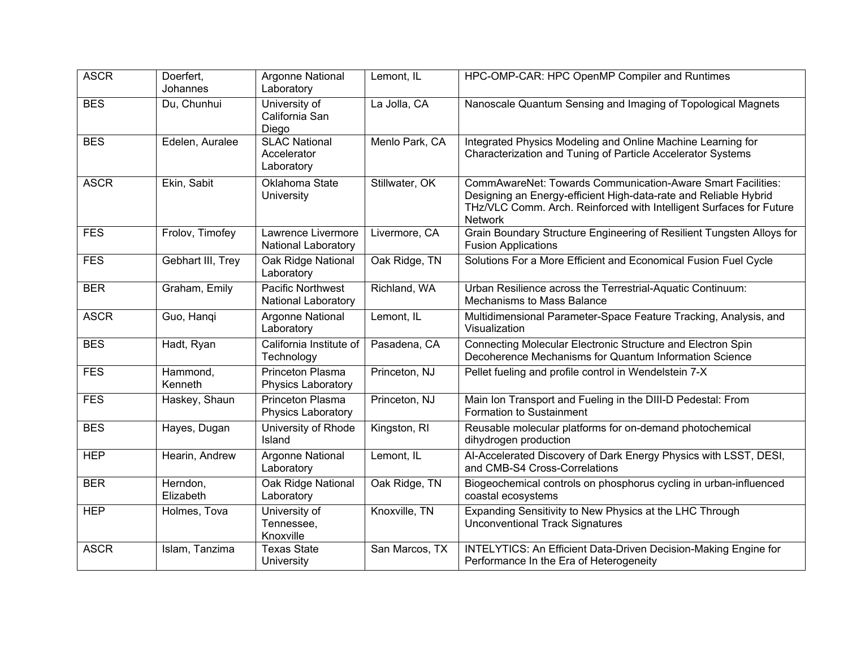| <b>ASCR</b> | Doerfert,<br>Johannes | Argonne National<br>Laboratory                    | Lemont, IL     | HPC-OMP-CAR: HPC OpenMP Compiler and Runtimes                                                                                                                                                                            |
|-------------|-----------------------|---------------------------------------------------|----------------|--------------------------------------------------------------------------------------------------------------------------------------------------------------------------------------------------------------------------|
| <b>BES</b>  | Du, Chunhui           | University of<br>California San<br>Diego          | La Jolla, CA   | Nanoscale Quantum Sensing and Imaging of Topological Magnets                                                                                                                                                             |
| <b>BES</b>  | Edelen, Auralee       | <b>SLAC National</b><br>Accelerator<br>Laboratory | Menlo Park, CA | Integrated Physics Modeling and Online Machine Learning for<br>Characterization and Tuning of Particle Accelerator Systems                                                                                               |
| <b>ASCR</b> | Ekin, Sabit           | Oklahoma State<br>University                      | Stillwater, OK | CommAwareNet: Towards Communication-Aware Smart Facilities:<br>Designing an Energy-efficient High-data-rate and Reliable Hybrid<br>THz/VLC Comm. Arch. Reinforced with Intelligent Surfaces for Future<br><b>Network</b> |
| <b>FES</b>  | Frolov, Timofey       | Lawrence Livermore<br><b>National Laboratory</b>  | Livermore, CA  | Grain Boundary Structure Engineering of Resilient Tungsten Alloys for<br><b>Fusion Applications</b>                                                                                                                      |
| <b>FES</b>  | Gebhart III, Trey     | Oak Ridge National<br>Laboratory                  | Oak Ridge, TN  | Solutions For a More Efficient and Economical Fusion Fuel Cycle                                                                                                                                                          |
| <b>BER</b>  | Graham, Emily         | Pacific Northwest<br><b>National Laboratory</b>   | Richland, WA   | Urban Resilience across the Terrestrial-Aquatic Continuum:<br>Mechanisms to Mass Balance                                                                                                                                 |
| <b>ASCR</b> | Guo, Hanqi            | <b>Argonne National</b><br>Laboratory             | Lemont, IL     | Multidimensional Parameter-Space Feature Tracking, Analysis, and<br>Visualization                                                                                                                                        |
| <b>BES</b>  | Hadt, Ryan            | California Institute of<br>Technology             | Pasadena, CA   | Connecting Molecular Electronic Structure and Electron Spin<br>Decoherence Mechanisms for Quantum Information Science                                                                                                    |
| <b>FES</b>  | Hammond,<br>Kenneth   | Princeton Plasma<br>Physics Laboratory            | Princeton, NJ  | Pellet fueling and profile control in Wendelstein 7-X                                                                                                                                                                    |
| <b>FES</b>  | Haskey, Shaun         | <b>Princeton Plasma</b><br>Physics Laboratory     | Princeton, NJ  | Main Ion Transport and Fueling in the DIII-D Pedestal: From<br>Formation to Sustainment                                                                                                                                  |
| <b>BES</b>  | Hayes, Dugan          | University of Rhode<br>Island                     | Kingston, RI   | Reusable molecular platforms for on-demand photochemical<br>dihydrogen production                                                                                                                                        |
| <b>HEP</b>  | Hearin, Andrew        | Argonne National<br>Laboratory                    | Lemont, IL     | Al-Accelerated Discovery of Dark Energy Physics with LSST, DESI,<br>and CMB-S4 Cross-Correlations                                                                                                                        |
| <b>BER</b>  | Herndon,<br>Elizabeth | Oak Ridge National<br>Laboratory                  | Oak Ridge, TN  | Biogeochemical controls on phosphorus cycling in urban-influenced<br>coastal ecosystems                                                                                                                                  |
| <b>HEP</b>  | Holmes, Tova          | University of<br>Tennessee,<br>Knoxville          | Knoxville, TN  | Expanding Sensitivity to New Physics at the LHC Through<br><b>Unconventional Track Signatures</b>                                                                                                                        |
| <b>ASCR</b> | Islam, Tanzima        | <b>Texas State</b><br>University                  | San Marcos, TX | INTELYTICS: An Efficient Data-Driven Decision-Making Engine for<br>Performance In the Era of Heterogeneity                                                                                                               |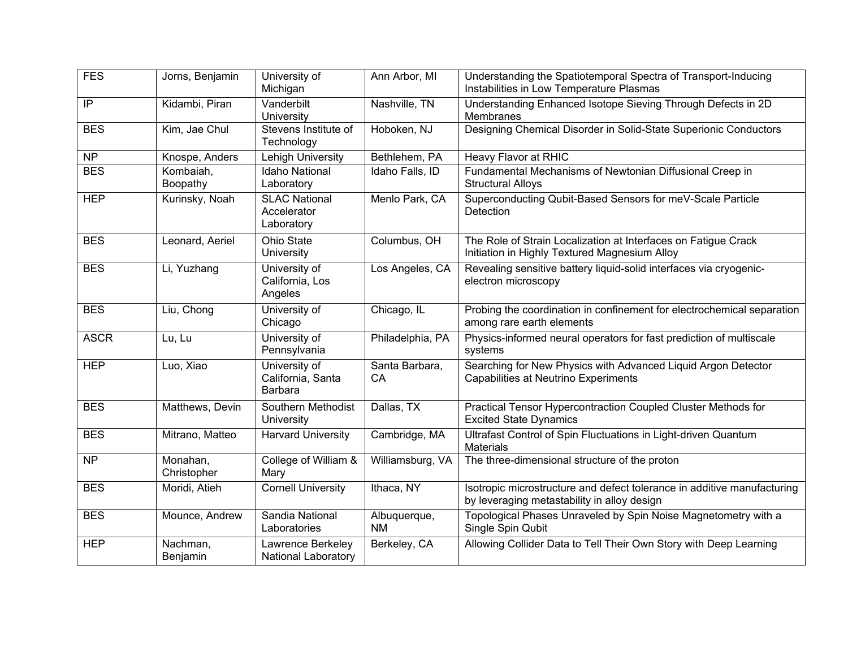| <b>FES</b>     | Jorns, Benjamin         | University of<br>Michigan                            | Ann Arbor, MI        | Understanding the Spatiotemporal Spectra of Transport-Inducing<br>Instabilities in Low Temperature Plasmas             |
|----------------|-------------------------|------------------------------------------------------|----------------------|------------------------------------------------------------------------------------------------------------------------|
| $\overline{P}$ | Kidambi, Piran          | Vanderbilt<br>University                             | Nashville, TN        | Understanding Enhanced Isotope Sieving Through Defects in 2D<br>Membranes                                              |
| <b>BES</b>     | Kim, Jae Chul           | Stevens Institute of<br>Technology                   | Hoboken, NJ          | Designing Chemical Disorder in Solid-State Superionic Conductors                                                       |
| NP             | Knospe, Anders          | Lehigh University                                    | Bethlehem, PA        | Heavy Flavor at RHIC                                                                                                   |
| <b>BES</b>     | Kombaiah,<br>Boopathy   | <b>Idaho National</b><br>Laboratory                  | Idaho Falls, ID      | Fundamental Mechanisms of Newtonian Diffusional Creep in<br><b>Structural Alloys</b>                                   |
| <b>HEP</b>     | Kurinsky, Noah          | <b>SLAC National</b><br>Accelerator<br>Laboratory    | Menlo Park, CA       | Superconducting Qubit-Based Sensors for meV-Scale Particle<br>Detection                                                |
| <b>BES</b>     | Leonard, Aeriel         | <b>Ohio State</b><br>University                      | Columbus, OH         | The Role of Strain Localization at Interfaces on Fatigue Crack<br>Initiation in Highly Textured Magnesium Alloy        |
| <b>BES</b>     | Li, Yuzhang             | University of<br>California, Los<br>Angeles          | Los Angeles, CA      | Revealing sensitive battery liquid-solid interfaces via cryogenic-<br>electron microscopy                              |
| <b>BES</b>     | Liu, Chong              | University of<br>Chicago                             | Chicago, IL          | Probing the coordination in confinement for electrochemical separation<br>among rare earth elements                    |
| <b>ASCR</b>    | Lu, Lu                  | University of<br>Pennsylvania                        | Philadelphia, PA     | Physics-informed neural operators for fast prediction of multiscale<br>systems                                         |
| <b>HEP</b>     | Luo, Xiao               | University of<br>California, Santa<br><b>Barbara</b> | Santa Barbara,<br>CA | Searching for New Physics with Advanced Liquid Argon Detector<br><b>Capabilities at Neutrino Experiments</b>           |
| <b>BES</b>     | Matthews, Devin         | Southern Methodist<br>University                     | Dallas, TX           | Practical Tensor Hypercontraction Coupled Cluster Methods for<br><b>Excited State Dynamics</b>                         |
| <b>BES</b>     | Mitrano, Matteo         | <b>Harvard University</b>                            | Cambridge, MA        | Ultrafast Control of Spin Fluctuations in Light-driven Quantum<br><b>Materials</b>                                     |
| <b>NP</b>      | Monahan,<br>Christopher | College of William &<br>Mary                         | Williamsburg, VA     | The three-dimensional structure of the proton                                                                          |
| <b>BES</b>     | Moridi, Atieh           | <b>Cornell University</b>                            | Ithaca, NY           | Isotropic microstructure and defect tolerance in additive manufacturing<br>by leveraging metastability in alloy design |
| <b>BES</b>     | Mounce, Andrew          | Sandia National<br>Laboratories                      | Albuquerque,<br>NM.  | Topological Phases Unraveled by Spin Noise Magnetometry with a<br>Single Spin Qubit                                    |
| <b>HEP</b>     | Nachman,<br>Benjamin    | Lawrence Berkeley<br><b>National Laboratory</b>      | Berkeley, CA         | Allowing Collider Data to Tell Their Own Story with Deep Learning                                                      |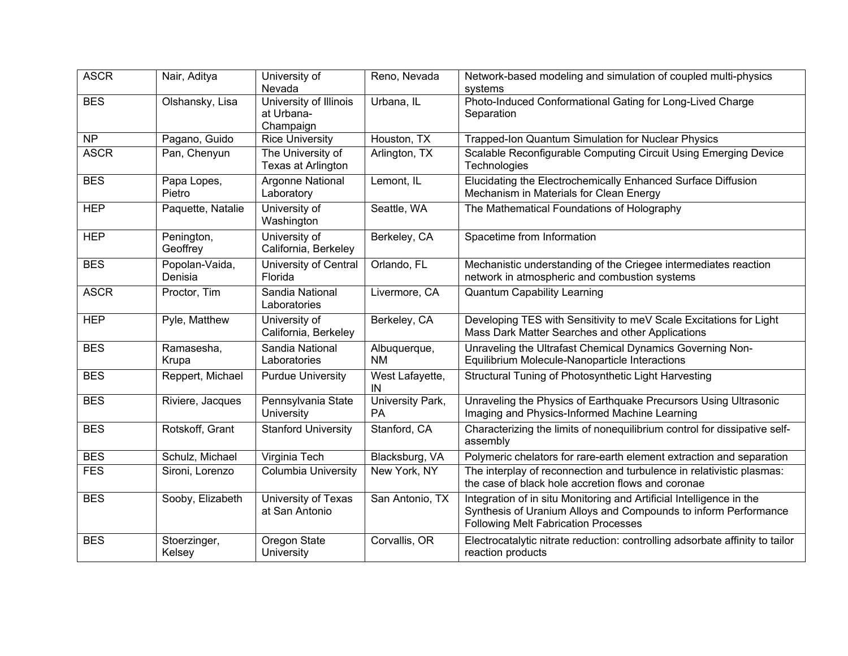| <b>ASCR</b> | Nair, Aditya              | University of<br>Nevada                           | Reno, Nevada              | Network-based modeling and simulation of coupled multi-physics<br>systems                                                                                                              |
|-------------|---------------------------|---------------------------------------------------|---------------------------|----------------------------------------------------------------------------------------------------------------------------------------------------------------------------------------|
| <b>BES</b>  | Olshansky, Lisa           | University of Illinois<br>at Urbana-<br>Champaign | Urbana, IL                | Photo-Induced Conformational Gating for Long-Lived Charge<br>Separation                                                                                                                |
| <b>NP</b>   | Pagano, Guido             | <b>Rice University</b>                            | Houston, TX               | Trapped-Ion Quantum Simulation for Nuclear Physics                                                                                                                                     |
| <b>ASCR</b> | Pan, Chenyun              | The University of<br><b>Texas at Arlington</b>    | Arlington, TX             | Scalable Reconfigurable Computing Circuit Using Emerging Device<br>Technologies                                                                                                        |
| <b>BES</b>  | Papa Lopes,<br>Pietro     | <b>Argonne National</b><br>Laboratory             | Lemont, IL                | Elucidating the Electrochemically Enhanced Surface Diffusion<br>Mechanism in Materials for Clean Energy                                                                                |
| <b>HEP</b>  | Paquette, Natalie         | University of<br>Washington                       | Seattle, WA               | The Mathematical Foundations of Holography                                                                                                                                             |
| <b>HEP</b>  | Penington,<br>Geoffrey    | University of<br>California, Berkeley             | Berkeley, CA              | Spacetime from Information                                                                                                                                                             |
| <b>BES</b>  | Popolan-Vaida,<br>Denisia | University of Central<br>Florida                  | Orlando, FL               | Mechanistic understanding of the Criegee intermediates reaction<br>network in atmospheric and combustion systems                                                                       |
| <b>ASCR</b> | Proctor, Tim              | Sandia National<br>Laboratories                   | Livermore, CA             | <b>Quantum Capability Learning</b>                                                                                                                                                     |
| <b>HEP</b>  | Pyle, Matthew             | University of<br>California, Berkeley             | Berkeley, CA              | Developing TES with Sensitivity to meV Scale Excitations for Light<br>Mass Dark Matter Searches and other Applications                                                                 |
| <b>BES</b>  | Ramasesha,<br>Krupa       | Sandia National<br>Laboratories                   | Albuquerque,<br><b>NM</b> | Unraveling the Ultrafast Chemical Dynamics Governing Non-<br>Equilibrium Molecule-Nanoparticle Interactions                                                                            |
| <b>BES</b>  | Reppert, Michael          | <b>Purdue University</b>                          | West Lafayette,<br>IN     | Structural Tuning of Photosynthetic Light Harvesting                                                                                                                                   |
| <b>BES</b>  | Riviere, Jacques          | Pennsylvania State<br>University                  | University Park,<br>PA    | Unraveling the Physics of Earthquake Precursors Using Ultrasonic<br>Imaging and Physics-Informed Machine Learning                                                                      |
| <b>BES</b>  | Rotskoff, Grant           | <b>Stanford University</b>                        | Stanford, CA              | Characterizing the limits of nonequilibrium control for dissipative self-<br>assembly                                                                                                  |
| <b>BES</b>  | Schulz, Michael           | Virginia Tech                                     | Blacksburg, VA            | Polymeric chelators for rare-earth element extraction and separation                                                                                                                   |
| <b>FES</b>  | Sironi, Lorenzo           | <b>Columbia University</b>                        | New York, NY              | The interplay of reconnection and turbulence in relativistic plasmas:<br>the case of black hole accretion flows and coronae                                                            |
| <b>BES</b>  | Sooby, Elizabeth          | University of Texas<br>at San Antonio             | San Antonio, TX           | Integration of in situ Monitoring and Artificial Intelligence in the<br>Synthesis of Uranium Alloys and Compounds to inform Performance<br><b>Following Melt Fabrication Processes</b> |
| <b>BES</b>  | Stoerzinger,<br>Kelsey    | Oregon State<br>University                        | Corvallis, OR             | Electrocatalytic nitrate reduction: controlling adsorbate affinity to tailor<br>reaction products                                                                                      |